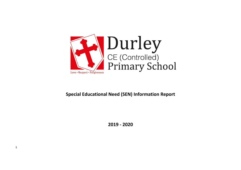

## **Special Educational Need (SEN) Information Report**

**2019 - 2020**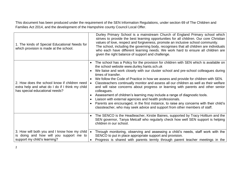This document has been produced under the requirement of the SEN Information Regulations, under section 69 of The Children and Families Act 2014, and the development of the Hampshire county Council Local Offer.

| 1. The kinds of Special Educational Needs for<br>which provision is made at the school.                                           | Durley Primary School is a mainstream Church of England Primary school which<br>strives to provide the best learning opportunities for all children. Our core Christian<br>values of love, respect and forgiveness, promote an inclusive school community.<br>The school, including the governing body, recognises that all children are individuals<br>who each have different learning needs. We work hard to ensure all children are<br>given the right balance of support and challenge.                                                                                                                                                                                                                                                                                                                                                           |
|-----------------------------------------------------------------------------------------------------------------------------------|--------------------------------------------------------------------------------------------------------------------------------------------------------------------------------------------------------------------------------------------------------------------------------------------------------------------------------------------------------------------------------------------------------------------------------------------------------------------------------------------------------------------------------------------------------------------------------------------------------------------------------------------------------------------------------------------------------------------------------------------------------------------------------------------------------------------------------------------------------|
| 2. How does the school know if children need<br>extra help and what do I do if I think my child<br>has special educational needs? | The school has a Policy for the provision for children with SEN which is available on<br>the school website www.durley.hants.sch.uk<br>We liaise and work closely with our cluster school and pre-school colleagues during<br>times of transfer.<br>We follow the Code of Practice in how we assess and provide for children with SEN.<br>Classteachers continually monitor and assess all our children as well as their welfare<br>and will raise concerns about progress or learning with parents and other senior<br>colleagues.<br>Assessment of children's learning may include a range of diagnostic tools.<br>Liaison with external agencies and health professionals.<br>Parents are encouraged, in the first instance, to raise any concerns with their child's<br>classteacher, who may seek advice and support from other members of staff. |
|                                                                                                                                   | The SENCO is the Headteacher, Kirstie Baines, supported by Tracy Holttum and the<br>SEN governor, Tanya Metcalf who regularly check how well SEN support is helping<br>children in our school.                                                                                                                                                                                                                                                                                                                                                                                                                                                                                                                                                                                                                                                         |
| 3. How will both you and I know how my child<br>is doing and how will you support me to<br>support my child's learning?           | Through monitoring, observing and assessing a child's needs, staff work with the<br>SENCO to put in place appropriate support and provision.<br>Progress is shared with parents termly through parent teacher meetings in the                                                                                                                                                                                                                                                                                                                                                                                                                                                                                                                                                                                                                          |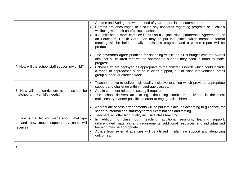|                                                                                                  | Autumn and Spring and written, end of year reports in the summer term.<br>Parents are encouraged to discuss any concerns regarding progress or a child's<br>wellbeing with their child's classteacher.<br>If a child has a more complex SEND an IPA (Inclusion, Partnership Agreement), or<br>an Education, Health Care Plan may be put into place, which means a formal<br>meeting will be held annually to discuss progress and a written report will be<br>produced.                                                        |
|--------------------------------------------------------------------------------------------------|--------------------------------------------------------------------------------------------------------------------------------------------------------------------------------------------------------------------------------------------------------------------------------------------------------------------------------------------------------------------------------------------------------------------------------------------------------------------------------------------------------------------------------|
| 4. How will the school staff support my child?                                                   | The governors agree priorities for spending within the SEN budget with the overall<br>aim that all children receive the appropriate support they need in order to make<br>progress.<br>School staff are deployed as appropriate to the children's needs which could include<br>a range of approaches such as in class support, out of class interventions, small<br>group support or directed work.                                                                                                                            |
| 5. How will the curriculum at the school be<br>matched to my child's needs?                      | Teachers strive to deliver high quality inclusive teaching which provides appropriate<br>support and challenge within mixed-age classes.<br>Add in comment related to setting if required<br>$\bullet$<br>The school delivers an exciting, stimulating curriculum delivered in the most<br>multisensory manner possible in order to engage all children.                                                                                                                                                                       |
| 6. How is the decision made about what type<br>of and how much support my child will<br>receive? | Appropriate access arrangements will be put into place, as according to guidance, for<br>school's informal and statutory formal examinations and testing.<br>Teachers will offer high quality inclusive class teaching.<br>In addition to class room teaching, additional sessions, learning support,<br>differentiated materials and requirements, additional resources and individualised<br>learning may be appropriate.<br>Advice from external agencies will be utilised in planning support and identifying<br>outcomes. |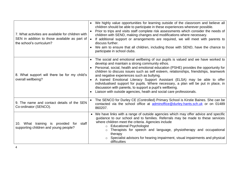| 7. What activities are available for children with<br>SEN in addition to those available as part of<br>the school's curriculum? | We highly value opportunities for learning outside of the classroom and believe all<br>children should be able to participate in these experiences wherever possible.<br>Prior to trips and visits staff complete risk assessments which consider the needs of<br>children with SEND, making changes and modifications where necessary.<br>If additional support or arrangements are required, we will meet with parents to<br>$\bullet$<br>discuss further.<br>We aim to ensure that all children, including those with SEND, have the chance to<br>participate in school clubs.                                                                                        |
|---------------------------------------------------------------------------------------------------------------------------------|--------------------------------------------------------------------------------------------------------------------------------------------------------------------------------------------------------------------------------------------------------------------------------------------------------------------------------------------------------------------------------------------------------------------------------------------------------------------------------------------------------------------------------------------------------------------------------------------------------------------------------------------------------------------------|
| 8. What support will there be for my child's<br>overall wellbeing?                                                              | The social and emotional wellbeing of our pupils is valued and we have worked to<br>develop and maintain a strong community ethos.<br>Personal, social, health and emotional education (PSHE) provides the opportunity for<br>children to discuss issues such as self esteem, relationships, friendships, teamwork<br>and negative experiences such as bullying.<br>A trained Emotional Literacy Support Assistant (ELSA) may be able to offer<br>individualised support for pupils. Where necessary, a plan will be put in place, in<br>discussion with parents, to support a pupil's wellbeing.<br>Liaison with outside agencies, heath and social care professionals. |
| 9. The name and contact details of the SEN<br>Co-ordinator (SENCO).                                                             | The SENCO for Durley CE (Controlled) Primary School is Kirstie Baines. She can be<br>$\bullet$<br>contacted via the school office at adminoffice@durley.hants.sch.uk or on 01489<br>860207.                                                                                                                                                                                                                                                                                                                                                                                                                                                                              |
| 10. What training is provided for staff<br>supporting children and young people?                                                | • We have links with a range of outside agencies which may offer advice and specific<br>guidance to our school and to families. Referrals may be made to these services<br>where children meet the criteria. Agencies include<br>o Educational Psychologist<br>Therapists for speech and language, physiotherapy and occupational<br>therapy<br>Specialist advisors for hearing impairment, visual impairments and physical<br>difficulties                                                                                                                                                                                                                              |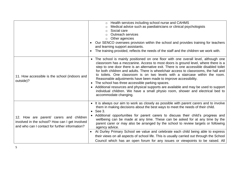|                                                                                                                                             | Health services including school nurse and CAHMS<br>$\circ$<br>Medical advice such as paediatricians or clinical psychologists<br>$\circ$<br>Social care<br>$\circ$<br><b>Outreach services</b><br>Other agencies<br>$\circ$<br>Our SENCO oversees provision within the school and provides training for teachers<br>and learning support assistants.<br>The training provided, reflects the needs of the staff and the children we work with.                                                                                                                                                                                                                                                                                                                       |
|---------------------------------------------------------------------------------------------------------------------------------------------|----------------------------------------------------------------------------------------------------------------------------------------------------------------------------------------------------------------------------------------------------------------------------------------------------------------------------------------------------------------------------------------------------------------------------------------------------------------------------------------------------------------------------------------------------------------------------------------------------------------------------------------------------------------------------------------------------------------------------------------------------------------------|
| 11. How accessible is the school (indoors and<br>outside)?                                                                                  | • The school is mainly positioned on one floor with one overall level, although one<br>classroom has a mezzanine. Access to most doors is ground level, where there is a<br>step to one door there is an alternative exit. There is one accessible disabled toilet<br>for both children and adults. There is wheelchair access to classrooms, the hall and<br>to toilets. One classroom is on two levels with a staircase within the room.<br>Reasonable adjustments have been made to improve accessibility.<br>The school has three accessible parking spaces.<br>• Additional resources and physical supports are available and may be used to support<br>individual children. We have a small physio room, shower and electrical bed to<br>accommodate changing. |
| 12. How are parent/ carers and children<br>involved in the school? How can I get involved<br>and who can I contact for further information? | • It is always our aim to work as closely as possible with parent carers and to involve<br>them in making decisions about the best ways to meet the needs of their child.<br>See 3.<br>$\bullet$<br>Additional opportunities for parent carers to discuss their child's progress and<br>wellbeing can be made at any time. These can be asked for at any time by the<br>parent carer or may also be arranged by the school to review targets or following<br>agency advice.<br>At Durley Primary School we value and celebrate each child being able to express<br>their views on all aspects of school life. This is usually carried out through the School<br>Council which has an open forum for any issues or viewpoints to be raised. All                       |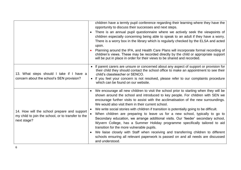|                                                                                                                  | children have a termly pupil conference regarding their learning where they have the<br>opportunity to discuss their successes and next steps.<br>There is an annual pupil questionnaire where we actively seek the viewpoints of<br>children especially concerning being able to speak to an adult if they have a worry.<br>There is a worry box in the library which is regularly checked by the ELSA and acted<br>upon.<br>Planning around the IPA, and Health Care Plans will incorporate formal recording of<br>children's views. These may be recorded directly by the child or appropriate support<br>will be put in place in order for their views to be shared and recorded.                                                                                                                                                                                                                            |
|------------------------------------------------------------------------------------------------------------------|------------------------------------------------------------------------------------------------------------------------------------------------------------------------------------------------------------------------------------------------------------------------------------------------------------------------------------------------------------------------------------------------------------------------------------------------------------------------------------------------------------------------------------------------------------------------------------------------------------------------------------------------------------------------------------------------------------------------------------------------------------------------------------------------------------------------------------------------------------------------------------------------------------------|
| 13. What steps should I take if I have a<br>concern about the school's SEN provision?                            | If parent carers are unsure or concerned about any aspect of support or provision for<br>their child they should contact the school office to make an appointment to see their<br>child's classteacher or SENCO.<br>If you feel your concern is not resolved, please refer to our complaints procedure<br>$\bullet$<br>which can be found on our website.                                                                                                                                                                                                                                                                                                                                                                                                                                                                                                                                                        |
| 14. How will the school prepare and support<br>my child to join the school, or to transfer to the<br>next stage? | We encourage all new children to visit the school prior to starting when they will be<br>shown around the school and introduced to key people. For children with SEN we<br>encourage further visits to assist with the acclimatisation of the new surroundings.<br>We would also visit them in their current school.<br>We write social stories with children if transition is potentially going to be difficult.<br>When children are preparing to leave us for a new school, typically to go to<br>Secondary education, we arrange additional visits. Our 'feeder' secondary school,<br>Wyvern College, has a Summer Holiday programme specifically tailored to aid<br>transition for the more vulnerable pupils.<br>We liaise closely with Staff when receiving and transferring children to different<br>schools ensuring all relevant paperwork is passed on and all needs are discussed<br>and understood. |